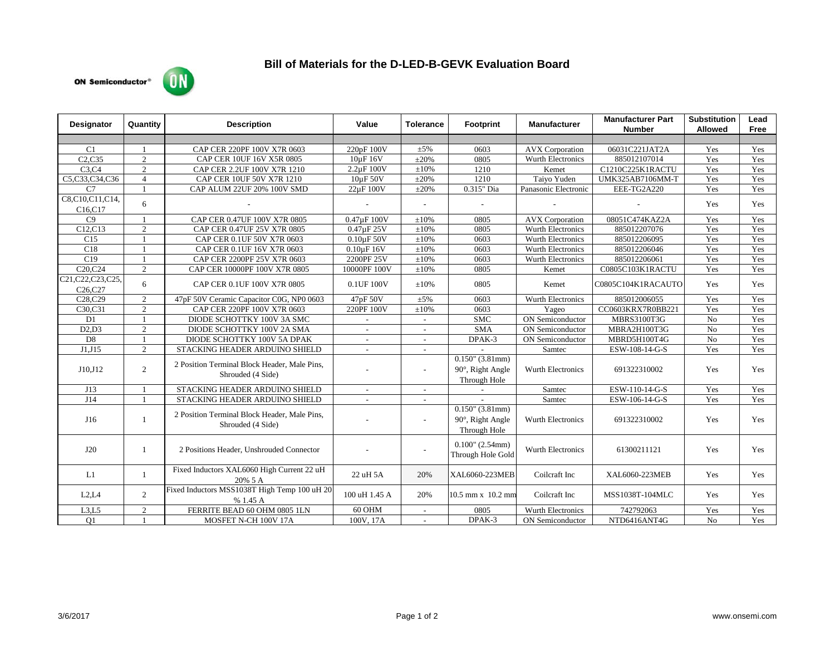## ON **ON Semiconductor®**



| <b>Designator</b>                                       | Quantity       | <b>Description</b>                                                | Value           | <b>Tolerance</b> | Footprint                                              | <b>Manufacturer</b>      | <b>Manufacturer Part</b><br><b>Number</b> | <b>Substitution</b><br><b>Allowed</b> | Lead<br>Free |
|---------------------------------------------------------|----------------|-------------------------------------------------------------------|-----------------|------------------|--------------------------------------------------------|--------------------------|-------------------------------------------|---------------------------------------|--------------|
|                                                         |                |                                                                   |                 |                  |                                                        |                          |                                           |                                       |              |
| C <sub>1</sub>                                          |                | CAP CER 220PF 100V X7R 0603                                       | 220pF 100V      | $\pm 5\%$        | 0603                                                   | <b>AVX</b> Corporation   | 06031C221JAT2A                            | Yes                                   | Yes          |
| C2.C35                                                  | $\overline{2}$ | CAP CER 10UF 16V X5R 0805                                         | 10uF 16V        | $\pm 20\%$       | 0805                                                   | Wurth Electronics        | 885012107014                              | Yes                                   | Yes          |
| C3,C4                                                   | $\overline{c}$ | CAP CER 2.2UF 100V X7R 1210                                       | $2.2\mu$ F 100V | $\pm 10\%$       | 1210                                                   | Kemet                    | C1210C225K1RACTU                          | Yes                                   | Yes          |
| C5,C33,C34,C36                                          | $\overline{4}$ | CAP CER 10UF 50V X7R 1210                                         | 10µF 50V        | $\pm 20\%$       | 1210                                                   | Taiyo Yuden              | UMK325AB7106MM-T                          | Yes                                   | Yes          |
| C <sub>7</sub>                                          |                | CAP ALUM 22UF 20% 100V SMD                                        | 22µF 100V       | $\pm 20\%$       | 0.315" Dia                                             | Panasonic Electronic     | EEE-TG2A220                               | Yes                                   | Yes          |
| C8,C10,C11,C14,<br>C <sub>16</sub> ,C <sub>17</sub>     | 6              |                                                                   |                 |                  |                                                        |                          |                                           | Yes                                   | Yes          |
| C9                                                      |                | CAP CER 0.47UF 100V X7R 0805                                      | 0.47µF 100V     | $\pm 10\%$       | 0805                                                   | <b>AVX</b> Corporation   | 08051C474KAZ2A                            | Yes                                   | Yes          |
| C12,C13                                                 | 2              | CAP CER 0.47UF 25V X7R 0805                                       | 0.47uF 25V      | $\pm 10\%$       | 0805                                                   | <b>Wurth Electronics</b> | 885012207076                              | Yes                                   | Yes          |
| C15                                                     |                | CAP CER 0.1UF 50V X7R 0603                                        | $0.10\mu$ F 50V | $\pm 10\%$       | 0603                                                   | Wurth Electronics        | 885012206095                              | Yes                                   | Yes          |
| C18                                                     |                | CAP CER 0.1UF 16V X7R 0603                                        | $0.10\mu F 16V$ | $\pm 10\%$       | 0603                                                   | Wurth Electronics        | 885012206046                              | Yes                                   | Yes          |
| C19                                                     | $\overline{1}$ | CAP CER 2200PF 25V X7R 0603                                       | 2200PF 25V      | $\pm 10\%$       | 0603                                                   | Wurth Electronics        | 885012206061                              | Yes                                   | Yes          |
| C <sub>20</sub> , C <sub>24</sub>                       | $\mathbf{2}$   | CAP CER 10000PF 100V X7R 0805                                     | 10000PF 100V    | $\pm 10\%$       | 0805                                                   | Kemet                    | C0805C103K1RACTU                          | Yes                                   | Yes          |
| C21, C22, C23, C25,<br>C <sub>26</sub> ,C <sub>27</sub> | 6              | CAP CER 0.1UF 100V X7R 0805                                       | 0.1UF 100V      | $\pm 10\%$       | 0805                                                   | Kemet                    | C0805C104K1RACAUTO                        | Yes                                   | Yes          |
| C <sub>28</sub> .C <sub>29</sub>                        | $\overline{2}$ | 47pF 50V Ceramic Capacitor C0G, NP0 0603                          | 47pF 50V        | $\pm 5\%$        | 0603                                                   | Wurth Electronics        | 885012006055                              | Yes                                   | Yes          |
| C30,C31                                                 | $\overline{2}$ | CAP CER 220PF 100V X7R 0603                                       | 220PF 100V      | $\pm 10\%$       | 0603                                                   | Yageo                    | CC0603KRX7R0BB221                         | Yes                                   | Yes          |
| D1                                                      |                | DIODE SCHOTTKY 100V 3A SMC                                        | $\sim$          | $\sim$           | <b>SMC</b>                                             | ON Semiconductor         | MBRS3100T3G                               | No                                    | Yes          |
| D2,D3                                                   | $\overline{2}$ | DIODE SCHOTTKY 100V 2A SMA                                        | $\sim$          | $\sim$           | $\overline{\text{SMA}}$                                | ON Semiconductor         | MBRA2H100T3G                              | No                                    | Yes          |
| D <sub>8</sub>                                          |                | DIODE SCHOTTKY 100V 5A DPAK                                       |                 |                  | DPAK-3                                                 | ON Semiconductor         | MBRD5H100T4G                              | No                                    | Yes          |
| J1,J15                                                  | $\overline{c}$ | STACKING HEADER ARDUINO SHIELD                                    | $\overline{a}$  | $\overline{a}$   |                                                        | Samtec                   | ESW-108-14-G-S                            | Yes                                   | Yes          |
| J10.J12                                                 | $\overline{2}$ | 2 Position Terminal Block Header, Male Pins,<br>Shrouded (4 Side) |                 | $\overline{a}$   | $0.150$ " (3.81mm)<br>90°, Right Angle<br>Through Hole | <b>Wurth Electronics</b> | 691322310002                              | Yes                                   | Yes          |
| J13                                                     |                | STACKING HEADER ARDUINO SHIELD                                    | $\sim$          | $\sim$           |                                                        | Samtec                   | ESW-110-14-G-S                            | Yes                                   | Yes          |
| J14                                                     |                | STACKING HEADER ARDUINO SHIELD                                    | $\sim$          | $\sim$           |                                                        | Samtec                   | ESW-106-14-G-S                            | Yes                                   | Yes          |
| J16                                                     | $\mathbf{1}$   | 2 Position Terminal Block Header, Male Pins,<br>Shrouded (4 Side) |                 | $\overline{a}$   | $0.150$ " (3.81mm)<br>90°, Right Angle<br>Through Hole | Wurth Electronics        | 691322310002                              | Yes                                   | Yes          |
| J20                                                     | -1             | 2 Positions Header, Unshrouded Connector                          |                 |                  | $0.100$ " (2.54mm)<br>Through Hole Gold                | <b>Wurth Electronics</b> | 61300211121                               | Yes                                   | Yes          |
| L1                                                      | $\mathbf{1}$   | Fixed Inductors XAL6060 High Current 22 uH<br>20% 5 A             | 22 uH 5A        | 20%              | XAL6060-223MEB                                         | Coilcraft Inc            | XAL6060-223MEB                            | Yes                                   | Yes          |
| L2, L4                                                  | $\overline{2}$ | Fixed Inductors MSS1038T High Temp 100 uH 20<br>% 1.45 A          | 100 uH 1.45 A   | 20%              | 10.5 mm x 10.2 mm                                      | Coilcraft Inc            | MSS1038T-104MLC                           | Yes                                   | Yes          |
| L3,L5                                                   | $\overline{c}$ | FERRITE BEAD 60 OHM 0805 1LN                                      | 60 OHM          |                  | 0805                                                   | Wurth Electronics        | 742792063                                 | Yes                                   | Yes          |
| O <sub>1</sub>                                          |                | MOSFET N-CH 100V 17A                                              | 100V, 17A       |                  | DPAK-3                                                 | <b>ON</b> Semiconductor  | NTD6416ANT4G                              | No                                    | Yes          |